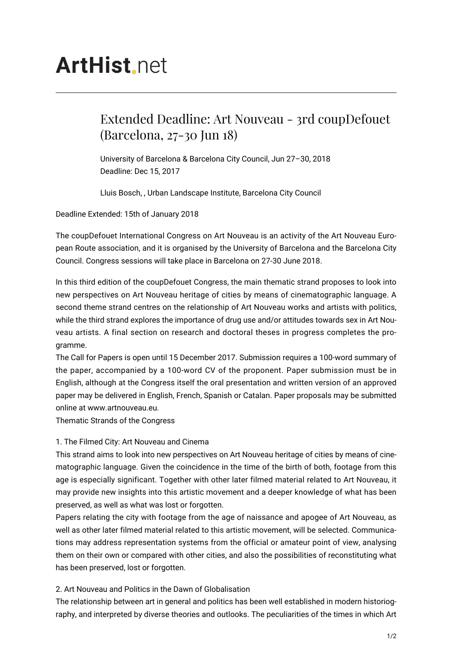# **ArtHist** net

# Extended Deadline: Art Nouveau - 3rd coupDefouet (Barcelona, 27-30 Jun 18)

University of Barcelona & Barcelona City Council, Jun 27–30, 2018 Deadline: Dec 15, 2017

Lluis Bosch, , Urban Landscape Institute, Barcelona City Council

Deadline Extended: 15th of January 2018

The coupDefouet International Congress on Art Nouveau is an activity of the Art Nouveau European Route association, and it is organised by the University of Barcelona and the Barcelona City Council. Congress sessions will take place in Barcelona on 27-30 June 2018.

In this third edition of the coupDefouet Congress, the main thematic strand proposes to look into new perspectives on Art Nouveau heritage of cities by means of cinematographic language. A second theme strand centres on the relationship of Art Nouveau works and artists with politics, while the third strand explores the importance of drug use and/or attitudes towards sex in Art Nouveau artists. A final section on research and doctoral theses in progress completes the programme.

The Call for Papers is open until 15 December 2017. Submission requires a 100-word summary of the paper, accompanied by a 100-word CV of the proponent. Paper submission must be in English, although at the Congress itself the oral presentation and written version of an approved paper may be delivered in English, French, Spanish or Catalan. Paper proposals may be submitted online at www.artnouveau.eu.

Thematic Strands of the Congress

## 1. The Filmed City: Art Nouveau and Cinema

This strand aims to look into new perspectives on Art Nouveau heritage of cities by means of cinematographic language. Given the coincidence in the time of the birth of both, footage from this age is especially significant. Together with other later filmed material related to Art Nouveau, it may provide new insights into this artistic movement and a deeper knowledge of what has been preserved, as well as what was lost or forgotten.

Papers relating the city with footage from the age of naissance and apogee of Art Nouveau, as well as other later filmed material related to this artistic movement, will be selected. Communications may address representation systems from the official or amateur point of view, analysing them on their own or compared with other cities, and also the possibilities of reconstituting what has been preserved, lost or forgotten.

## 2. Art Nouveau and Politics in the Dawn of Globalisation

The relationship between art in general and politics has been well established in modern historiography, and interpreted by diverse theories and outlooks. The peculiarities of the times in which Art